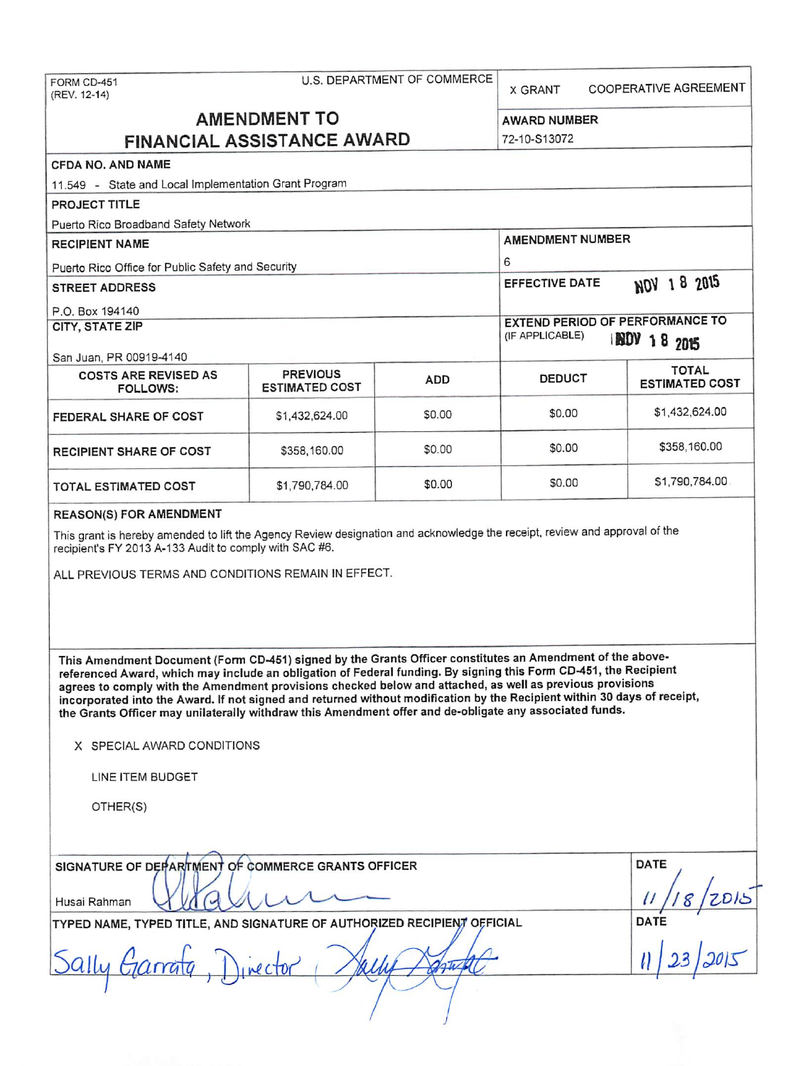FORM CD-451 (REV. 12-14)

**COOPERATIVE AGREEMENT X GRANT** 

# **AMENDMENT TO FINANCIAL ASSISTANCE AWARD**

72-10-S13072

### CFDA NO. AND NAME

11.549 - State and Local Implementation Grant Program

PROJECT TITLE

Puerto Rico Broadband Safety Network

**AMENDMENT NUMBER RECIPIENT NAME** 6 Puerto Rico Office for Public Safety and Security NOV 18 2015 **EFFECTIVE DATE STREET ADDRESS** P.O. Box 194140 **EXTEND PERIOD OF PERFORMANCE TO CITY, STATE ZIP** (IF APPLICABLE) **INDV 18 2015** San Juan, PR 00919-4140 **TOTAL COSTS ARE REVISED AS PREVIOUS DEDUCT ADD ESTIMATED COST ESTIMATED COST** FOLLOWS: \$1,432,624.00 \$0.00 \$0.00 FEDERAL SHARE OF COST \$1,432,624.00 \$358,160.00 \$0.00 \$0.00 RECIPIENT SHARE OF COST \$358,160.00 \$1,790,784.00 \$0.00 \$0.00 \$1,790,784.00 **TOTAL ESTIMATED COST** 

#### **REASON(S) FOR AMENDMENT**

This grant is hereby amended to lift the Agency Review designation and acknowledge the receipt, review and approval of the recipient's FY 2013 A-133 Audit to comply with SAC #6.

ALL PREVIOUS TERMS AND CONDITIONS REMAIN IN EFFECT.

This Amendment Document (Form CD-451) signed by the Grants Officer constitutes an Amendment of the abovereferenced Award, which may include an obligation of Federal funding. By signing this Form CD-451, the Recipient agrees to comply with the Amendment provisions checked below and attached, as well as previous provisions incorporated into the Award. If not signed and returned without modification by the Recipient within 30 days of receipt, the Grants Officer may unilaterally withdraw this Amendment offer and de-obligate any associated funds.

X SPECIAL AWARD CONDITIONS

LINE ITEM BUDGET

OTHER(S)

| SIGNATURE OF DEPARTMENT OF COMMERCE GRANTS OFFICER<br>Husai Rahman      | DATE<br>ZDIS |
|-------------------------------------------------------------------------|--------------|
| TYPED NAME, TYPED TITLE, AND SIGNATURE OF AUTHORIZED RECIPIENT OFFICIAL | <b>DATE</b>  |
| Sally Garrata<br>linector                                               |              |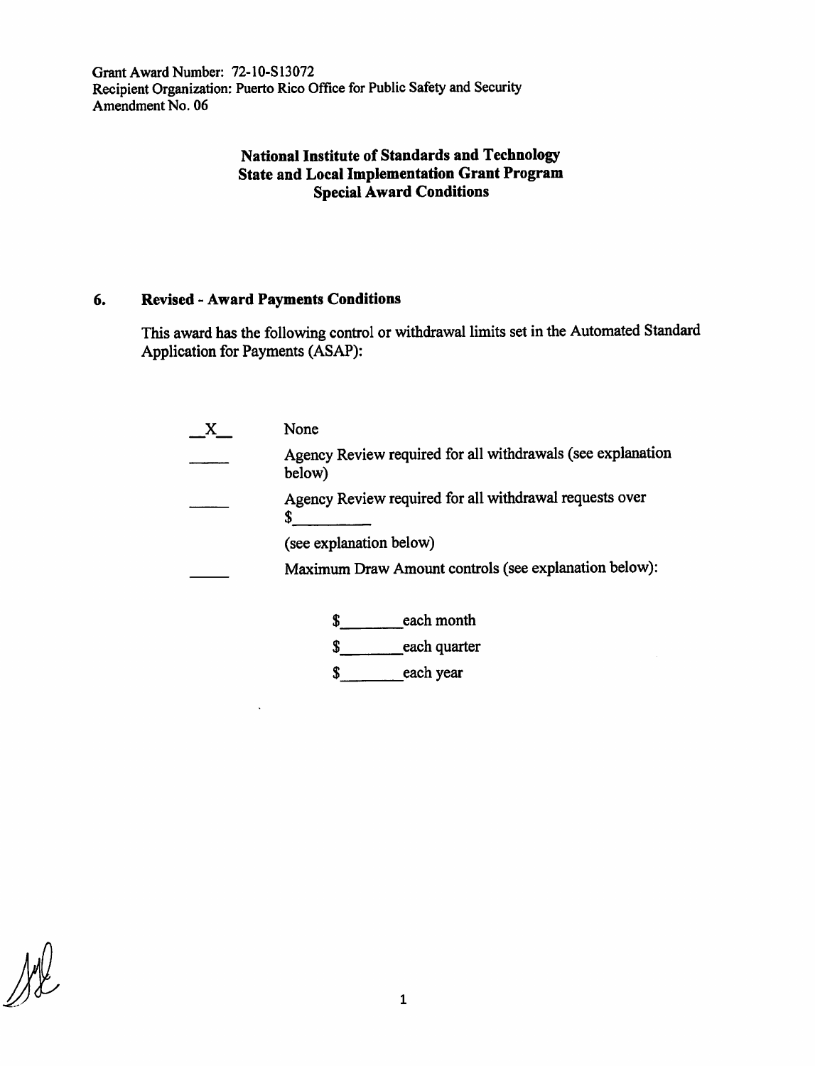Grant Award Number: 72-10-S13072 Recipient Organization: Puerto Rico Office for Public Safety and Security Amendment No. 06

## **National Institute of Standards and Technology State and Local Implementation Grant Program Special Award Conditions**

### **6. Revised** - **Award Payments Conditions**

This award has the following control or withdrawal limits set in the Automated Standard Application for Payments (ASAP):

|  | None                                                                                                                                                                                                                 |  |  |  |  |  |                   |
|--|----------------------------------------------------------------------------------------------------------------------------------------------------------------------------------------------------------------------|--|--|--|--|--|-------------------|
|  | Agency Review required for all withdrawals (see explanation<br>below)<br>Agency Review required for all withdrawal requests over<br>(see explanation below)<br>Maximum Draw Amount controls (see explanation below): |  |  |  |  |  |                   |
|  |                                                                                                                                                                                                                      |  |  |  |  |  |                   |
|  |                                                                                                                                                                                                                      |  |  |  |  |  | each month<br>S   |
|  |                                                                                                                                                                                                                      |  |  |  |  |  | each quarter<br>S |
|  | each year                                                                                                                                                                                                            |  |  |  |  |  |                   |